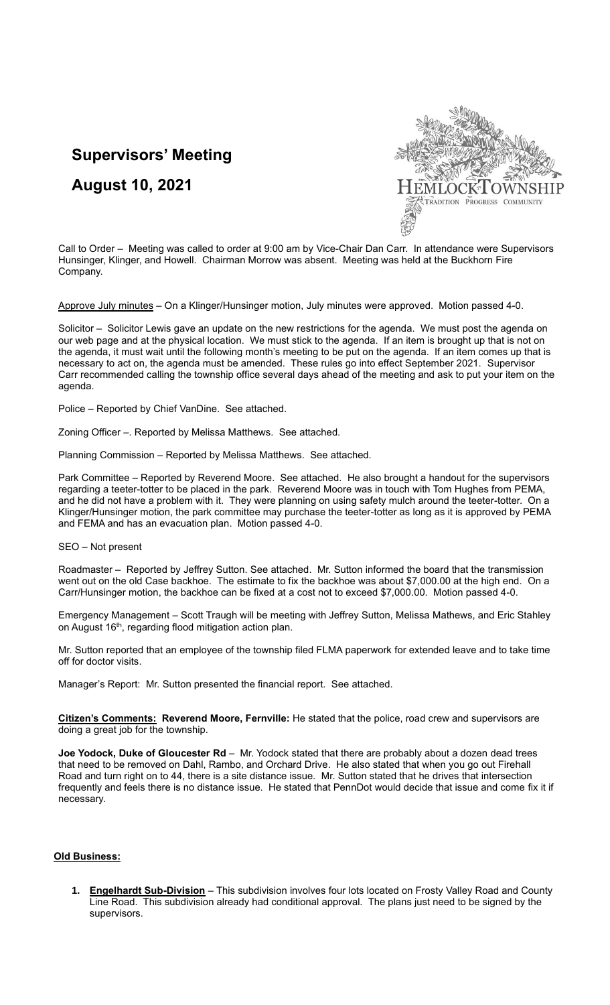# **Supervisors' Meeting**

**August 10, 2021**



Call to Order – Meeting was called to order at 9:00 am by Vice-Chair Dan Carr. In attendance were Supervisors Hunsinger, Klinger, and Howell. Chairman Morrow was absent. Meeting was held at the Buckhorn Fire Company.

Approve July minutes – On a Klinger/Hunsinger motion, July minutes were approved. Motion passed 4-0.

Solicitor – Solicitor Lewis gave an update on the new restrictions for the agenda. We must post the agenda on our web page and at the physical location. We must stick to the agenda. If an item is brought up that is not on the agenda, it must wait until the following month's meeting to be put on the agenda. If an item comes up that is necessary to act on, the agenda must be amended. These rules go into effect September 2021. Supervisor Carr recommended calling the township office several days ahead of the meeting and ask to put your item on the agenda.

Police – Reported by Chief VanDine. See attached.

Zoning Officer –. Reported by Melissa Matthews. See attached.

Planning Commission – Reported by Melissa Matthews. See attached.

Park Committee – Reported by Reverend Moore. See attached. He also brought a handout for the supervisors regarding a teeter-totter to be placed in the park. Reverend Moore was in touch with Tom Hughes from PEMA, and he did not have a problem with it. They were planning on using safety mulch around the teeter-totter. On a Klinger/Hunsinger motion, the park committee may purchase the teeter-totter as long as it is approved by PEMA and FEMA and has an evacuation plan. Motion passed 4-0.

SEO – Not present

Roadmaster – Reported by Jeffrey Sutton. See attached. Mr. Sutton informed the board that the transmission went out on the old Case backhoe. The estimate to fix the backhoe was about \$7,000.00 at the high end. On a Carr/Hunsinger motion, the backhoe can be fixed at a cost not to exceed \$7,000.00. Motion passed 4-0.

Emergency Management – Scott Traugh will be meeting with Jeffrey Sutton, Melissa Mathews, and Eric Stahley on August 16<sup>th</sup>, regarding flood mitigation action plan.

Mr. Sutton reported that an employee of the township filed FLMA paperwork for extended leave and to take time off for doctor visits.

Manager's Report: Mr. Sutton presented the financial report. See attached.

**Citizen's Comments: Reverend Moore, Fernville:** He stated that the police, road crew and supervisors are doing a great job for the township.

**Joe Yodock, Duke of Gloucester Rd** – Mr. Yodock stated that there are probably about a dozen dead trees that need to be removed on Dahl, Rambo, and Orchard Drive. He also stated that when you go out Firehall Road and turn right on to 44, there is a site distance issue. Mr. Sutton stated that he drives that intersection frequently and feels there is no distance issue. He stated that PennDot would decide that issue and come fix it if necessary.

# **Old Business:**

**1. Engelhardt Sub-Division** – This subdivision involves four lots located on Frosty Valley Road and County Line Road. This subdivision already had conditional approval. The plans just need to be signed by the supervisors.